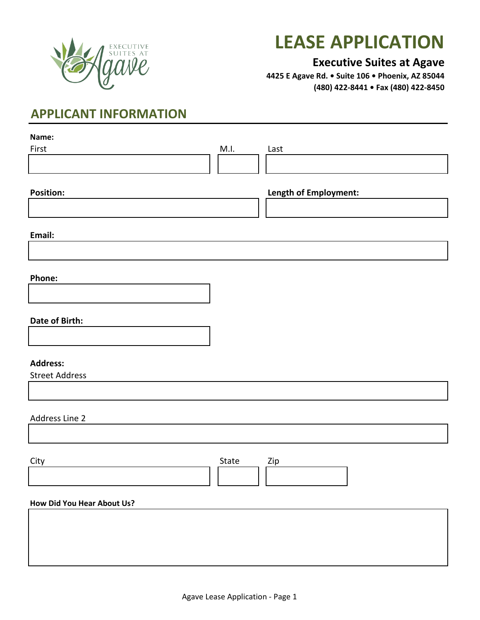

# **LEASE APPLICATION**

#### **Executive Suites at Agave**

**4425 E Agave Rd. • Suite 106 • Phoenix, AZ 85044 (480) 422-8441 • Fax (480) 422-8450**

## **APPLICANT INFORMATION**

| Name:                      |       |                       |
|----------------------------|-------|-----------------------|
| First                      | M.I.  | Last                  |
|                            |       |                       |
|                            |       |                       |
| <b>Position:</b>           |       | Length of Employment: |
|                            |       |                       |
|                            |       |                       |
|                            |       |                       |
| Email:                     |       |                       |
|                            |       |                       |
|                            |       |                       |
| Phone:                     |       |                       |
|                            |       |                       |
|                            |       |                       |
| Date of Birth:             |       |                       |
|                            |       |                       |
|                            |       |                       |
| <b>Address:</b>            |       |                       |
| <b>Street Address</b>      |       |                       |
|                            |       |                       |
|                            |       |                       |
|                            |       |                       |
| Address Line 2             |       |                       |
|                            |       |                       |
|                            |       |                       |
| City                       | State | Zip                   |
|                            |       |                       |
|                            |       |                       |
| How Did You Hear About Us? |       |                       |
|                            |       |                       |
|                            |       |                       |
|                            |       |                       |
|                            |       |                       |
|                            |       |                       |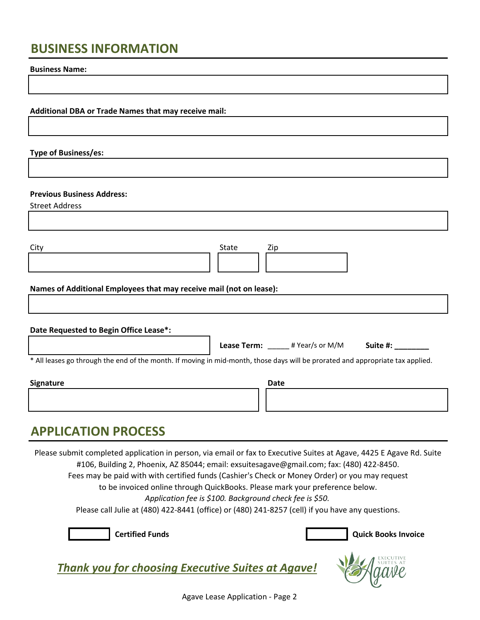### **BUSINESS INFORMATION**

**Business Name:**

**Additional DBA or Trade Names that may receive mail:**

**Type of Business/es:**

#### **Previous Business Address:**

Street Address

| City                                                                | State | Zip |  |  |
|---------------------------------------------------------------------|-------|-----|--|--|
| Names of Additional Employees that may receive mail (not on lease): |       |     |  |  |

| Date Requested to Begin Office Lease*:                                                                                         |                    |                 |          |  |
|--------------------------------------------------------------------------------------------------------------------------------|--------------------|-----------------|----------|--|
|                                                                                                                                | <b>Lease Term:</b> | # Year/s or M/M | Suite #: |  |
| * All leases go through the end of the month. If moving in mid-month, those days will be prorated and appropriate tax applied. |                    |                 |          |  |

| Signature | <b>Date</b> |
|-----------|-------------|
|           |             |
|           |             |

#### **APPLICATION PROCESS**

Please submit completed application in person, via email or fax to Executive Suites at Agave, 4425 E Agave Rd. Suite #106, Building 2, Phoenix, AZ 85044; email: exsuitesagave@gmail.com; fax: (480) 422-8450. Fees may be paid with with certified funds (Cashier's Check or Money Order) or you may request

to be invoiced online through QuickBooks. Please mark your preference below.

*Application fee is \$100. Background check fee is \$50.*

Please call Julie at (480) 422-8441 (office) or (480) 241-8257 (cell) if you have any questions.





*Thank you for choosing Executive Suites at Agave!*

Agave Lease Application - Page 2